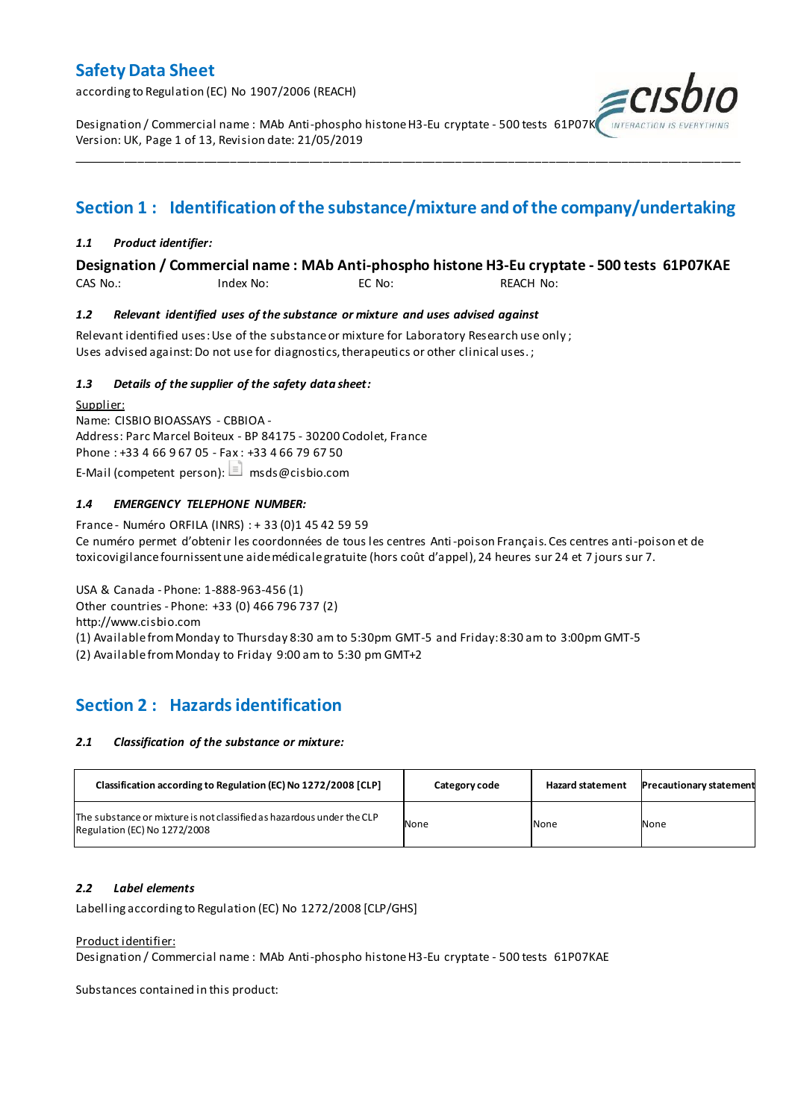according to Regulation (EC) No 1907/2006 (REACH)

Designation / Commercial name : MAb Anti-phospho histone H3-Eu cryptate - 500 tests 61P07K Version: UK, Page 1 of 13, Revision date: 21/05/2019

### **Section 1 : Identification of the substance/mixture and of the company/undertaking**

\_\_\_\_\_\_\_\_\_\_\_\_\_\_\_\_\_\_\_\_\_\_\_\_\_\_\_\_\_\_\_\_\_\_\_\_\_\_\_\_\_\_\_\_\_\_\_\_\_\_\_\_\_\_\_\_\_\_\_\_\_\_\_\_\_\_\_\_\_\_\_\_\_\_\_\_\_\_\_\_\_\_\_\_\_\_\_\_\_\_\_\_\_\_\_\_\_\_\_\_\_

#### *1.1 Product identifier:*

### **Designation / Commercial name : MAb Anti-phospho histone H3-Eu cryptate - 500 tests 61P07KAE**

CAS No.: Index No: EC No: REACH No:

#### *1.2 Relevant identified uses of the substance or mixture and uses advised against*

Relevant identified uses: Use of the substance or mixture for Laboratory Research use only ; Uses advised against: Do not use for diagnostics, therapeutics or other clinical uses.;

#### *1.3 Details of the supplier of the safety data sheet:*

Supplier: Name: CISBIO BIOASSAYS - CBBIOA - Address: Parc Marcel Boiteux - BP 84175 - 30200 Codolet, France Phone : +33 4 66 9 67 05 - Fax : +33 4 66 79 67 50 E-Mail (competent person):  $\Box$  msds@cisbio.com

#### *1.4 EMERGENCY TELEPHONE NUMBER:*

France - Numéro ORFILA (INRS) : + 33 (0)1 45 42 59 59 Ce numéro permet d'obtenir les coordonnées de tous les centres Anti-poison Français. Ces centres anti-poison et de toxicovigilance fournissent une aide médicale gratuite (hors coût d'appel), 24 heures sur 24 et 7 jours sur 7.

USA & Canada - Phone: 1-888-963-456 (1) Other countries - Phone: +33 (0) 466 796 737 (2) http://www.cisbio.com (1) Available from Monday to Thursday 8:30 am to 5:30pm GMT-5 and Friday: 8:30 am to 3:00pm GMT-5

(2) Available from Monday to Friday 9:00 am to 5:30 pm GMT+2

### **Section 2 : Hazards identification**

#### *2.1 Classification of the substance or mixture:*

| Classification according to Regulation (EC) No 1272/2008 [CLP]                                        | Category code | <b>Hazard statement</b> | <b>Precautionary statement</b> |
|-------------------------------------------------------------------------------------------------------|---------------|-------------------------|--------------------------------|
| The substance or mixture is not classified as hazardous under the CLP<br>Regulation (EC) No 1272/2008 | None          | None                    | None                           |

#### *2.2 Label elements*

Labelling according to Regulation (EC) No 1272/2008 [CLP/GHS]

#### Product identifier:

Designation / Commercial name : MAb Anti-phospho histone H3-Eu cryptate - 500 tests 61P07KAE

Substances contained in this product: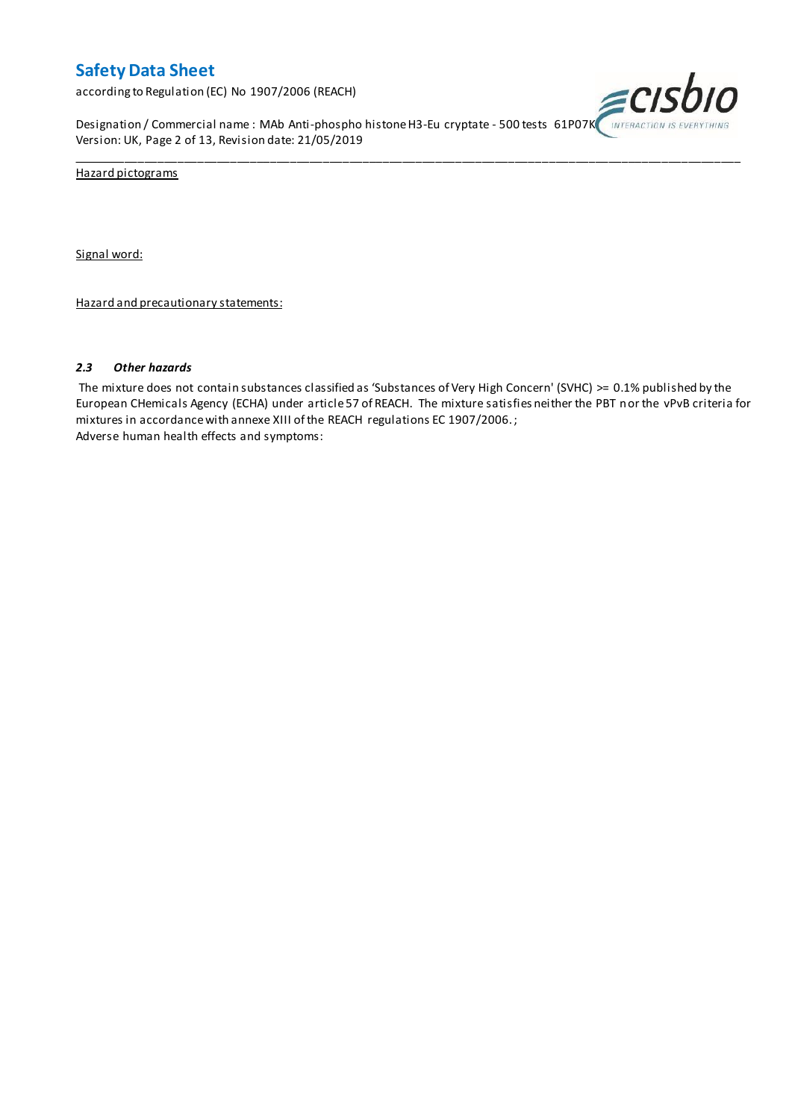according to Regulation (EC) No 1907/2006 (REACH)

Designation / Commercial name : MAb Anti-phospho histone H3-Eu cryptate - 500 tests 61P07K INTERACTION IS EVERYTHING Version: UK, Page 2 of 13, Revision date: 21/05/2019

\_\_\_\_\_\_\_\_\_\_\_\_\_\_\_\_\_\_\_\_\_\_\_\_\_\_\_\_\_\_\_\_\_\_\_\_\_\_\_\_\_\_\_\_\_\_\_\_\_\_\_\_\_\_\_\_\_\_\_\_\_\_\_\_\_\_\_\_\_\_\_\_\_\_\_\_\_\_\_\_\_\_\_\_\_\_\_\_\_\_\_\_\_\_\_\_\_\_\_\_\_



Hazard pictograms

Signal word:

Hazard and precautionary statements:

#### *2.3 Other hazards*

The mixture does not contain substances classified as 'Substances of Very High Concern' (SVHC) >= 0.1% published by the European CHemicals Agency (ECHA) under article 57 of REACH. The mixture satisfies neither the PBT nor the vPvB criteria for mixtures in accordance with annexe XIII of the REACH regulations EC 1907/2006. ; Adverse human health effects and symptoms: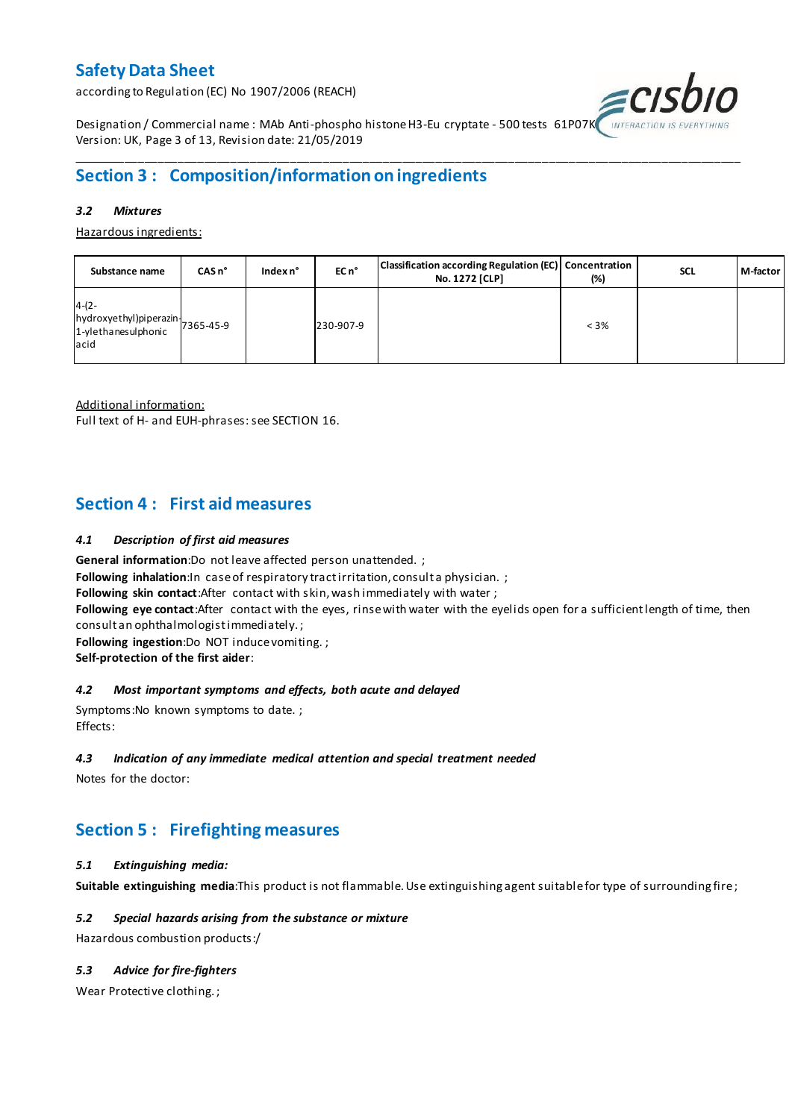according to Regulation (EC) No 1907/2006 (REACH)



Designation / Commercial name : MAb Anti-phospho histone H3-Eu cryptate - 500 tests 61P07K Version: UK, Page 3 of 13, Revision date: 21/05/2019

### **Section 3 : Composition/information on ingredients**

#### *3.2 Mixtures*

Hazardous ingredients:

| Substance name                                                                 | CASn <sup>o</sup> | Index n° | EC n <sup>o</sup> | Classification according Regulation (EC) Concentration<br>No. 1272 [CLP] | (%)     | <b>SCL</b> | M-factor |
|--------------------------------------------------------------------------------|-------------------|----------|-------------------|--------------------------------------------------------------------------|---------|------------|----------|
| $4-(2-$<br>hydroxyethyl)piperazin<br>7365-45-9<br>1-ylethanesulphonic<br>lacid |                   |          | 230-907-9         |                                                                          | $< 3\%$ |            |          |

\_\_\_\_\_\_\_\_\_\_\_\_\_\_\_\_\_\_\_\_\_\_\_\_\_\_\_\_\_\_\_\_\_\_\_\_\_\_\_\_\_\_\_\_\_\_\_\_\_\_\_\_\_\_\_\_\_\_\_\_\_\_\_\_\_\_\_\_\_\_\_\_\_\_\_\_\_\_\_\_\_\_\_\_\_\_\_\_\_\_\_\_\_\_\_\_\_\_\_\_\_

Additional information:

Full text of H- and EUH-phrases: see SECTION 16.

### **Section 4 : First aid measures**

#### *4.1 Description of first aid measures*

**General information**:Do not leave affected person unattended. ;

**Following inhalation:**In case of respiratory tractirritation, consult a physician. ;

**Following skin contact**:After contact with skin, wash immediately with water ;

**Following eye contact**:After contact with the eyes, rinse with water with the eyelids open for a sufficient length of time, then consult an ophthalmologist immediately. ;

**Following ingestion**:Do NOT induce vomiting. ;

**Self-protection of the first aider**:

#### *4.2 Most important symptoms and effects, both acute and delayed*

Symptoms:No known symptoms to date. ; Effects:

#### *4.3 Indication of any immediate medical attention and special treatment needed*

Notes for the doctor:

### **Section 5 : Firefighting measures**

#### *5.1 Extinguishing media:*

**Suitable extinguishing media**:This product is not flammable. Use extinguishing agent suitable for type of surrounding fire ;

#### *5.2 Special hazards arising from the substance or mixture*

Hazardous combustion products:/

#### *5.3 Advice for fire-fighters*

Wear Protective clothing. ;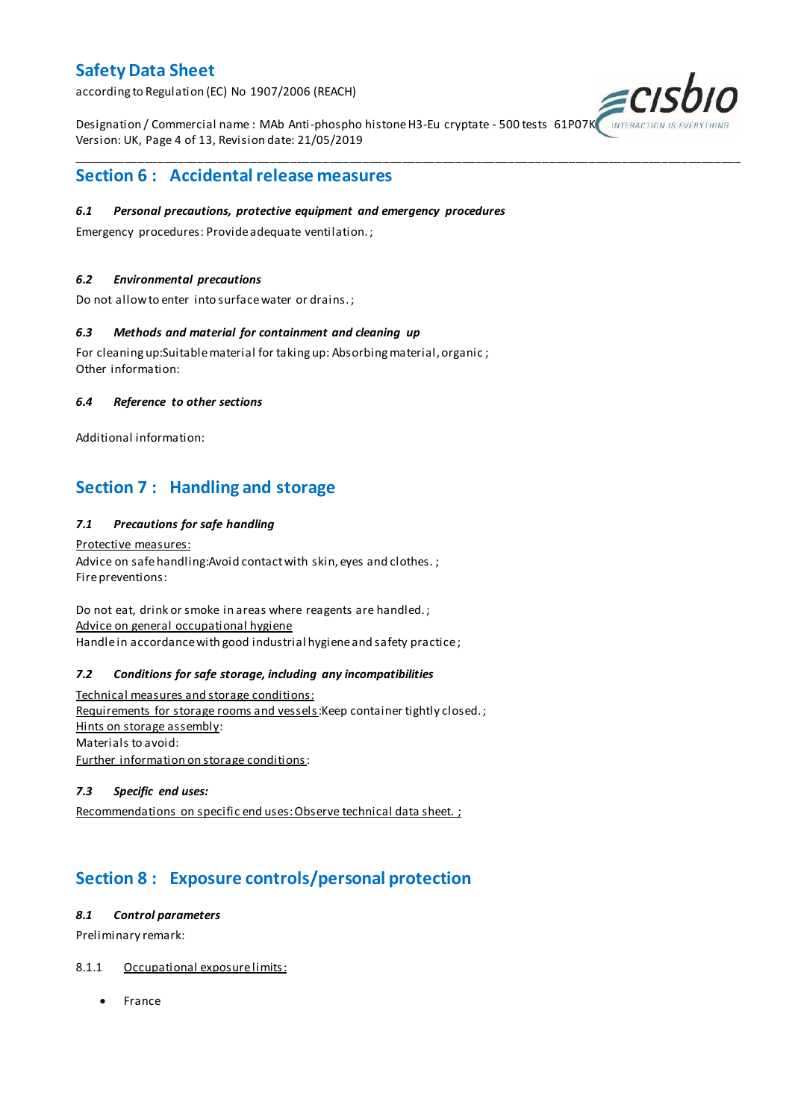according to Regulation (EC) No 1907/2006 (REACH)

Designation / Commercial name : MAb Anti-phospho histone H3-Eu cryptate - 500 tests 61P07K INTERACTION I Version: UK, Page 4 of 13, Revision date: 21/05/2019

\_\_\_\_\_\_\_\_\_\_\_\_\_\_\_\_\_\_\_\_\_\_\_\_\_\_\_\_\_\_\_\_\_\_\_\_\_\_\_\_\_\_\_\_\_\_\_\_\_\_\_\_\_\_\_\_\_\_\_\_\_\_\_\_\_\_\_\_\_\_\_\_\_\_\_\_\_\_\_\_\_\_\_\_\_\_\_\_\_\_\_\_\_\_\_\_\_\_\_\_\_



### **Section 6 : Accidental release measures**

#### *6.1 Personal precautions, protective equipment and emergency procedures*

Emergency procedures: Provide adequate ventilation. ;

#### *6.2 Environmental precautions*

Do not allow to enter into surface water or drains. ;

#### *6.3 Methods and material for containment and cleaning up*

For cleaning up:Suitable material for taking up: Absorbing material, organic ; Other information:

#### *6.4 Reference to other sections*

Additional information:

### **Section 7 : Handling and storage**

#### *7.1 Precautions for safe handling*

Protective measures: Advice on safe handling: Avoid contact with skin, eyes and clothes.; Fire preventions:

Do not eat, drink or smoke in areas where reagents are handled. ; Advice on general occupational hygiene Handle in accordance with good industrial hygiene and safety practice;

#### *7.2 Conditions for safe storage, including any incompatibilities*

Technical measures and storage conditions: Requirements for storage rooms and vessels: Keep container tightly closed.; Hints on storage assembly: Materials to avoid: Further information on storage conditions:

#### *7.3 Specific end uses:*

Recommendations on specific end uses: Observe technical data sheet. ;

### **Section 8 : Exposure controls/personal protection**

#### *8.1 Control parameters*

Preliminary remark:

#### 8.1.1 Occupational exposure limits:

• France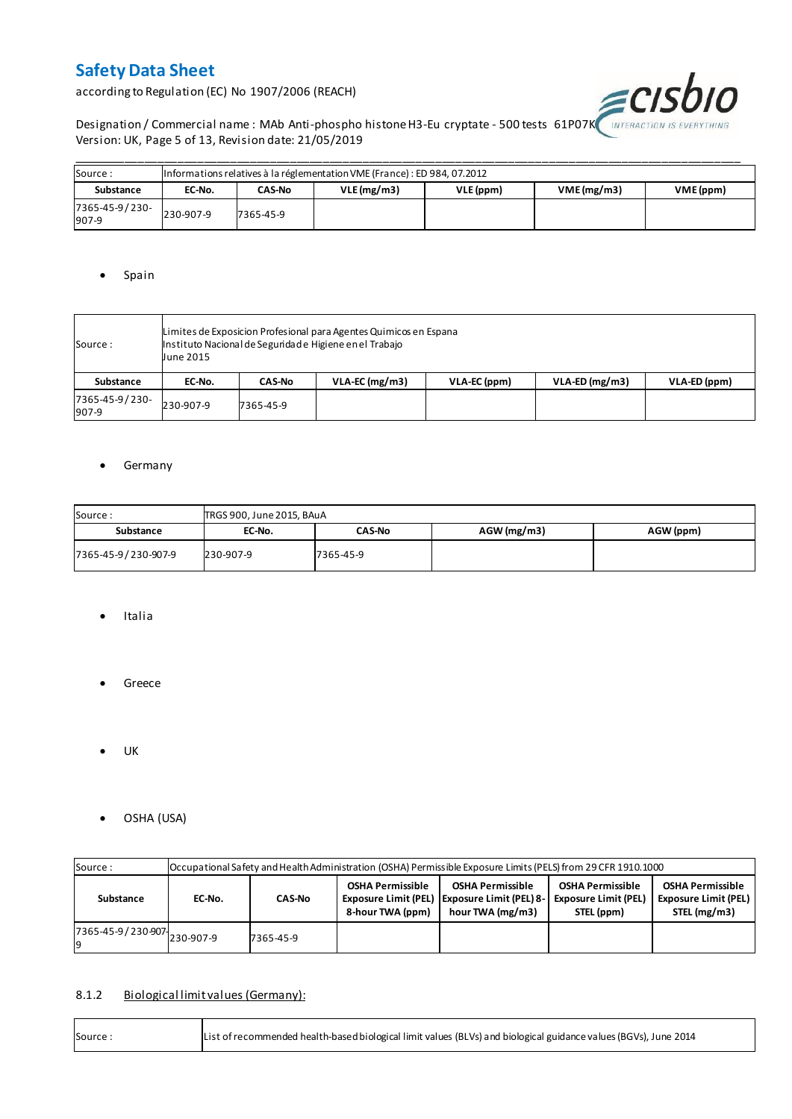according to Regulation (EC) No 1907/2006 (REACH)



Designation / Commercial name : MAb Anti-phospho histone H3-Eu cryptate - 500 tests 61P07K MITERACTION IS EVERYTHING Version: UK, Page 5 of 13, Revision date: 21/05/2019

| Source:                 |           | Informations relatives à la réglementation VME (France) : ED 984, 07.2012 |            |           |                         |  |  |  |  |  |  |  |  |
|-------------------------|-----------|---------------------------------------------------------------------------|------------|-----------|-------------------------|--|--|--|--|--|--|--|--|
| Substance               | EC-No.    | CAS-No                                                                    | VLE(mg/m3) | VLE (ppm) | VME(mg/m3)<br>VME (ppm) |  |  |  |  |  |  |  |  |
| 7365-45-9/230-<br>907-9 | 230-907-9 | 7365-45-9                                                                 |            |           |                         |  |  |  |  |  |  |  |  |

#### • Spain

| Source :                | June 2015 | Limites de Exposicion Profesional para Agentes Quimicos en Espana<br>Instituto Nacional de Seguridade Higiene en el Trabajo |                  |              |                  |              |  |  |  |  |  |
|-------------------------|-----------|-----------------------------------------------------------------------------------------------------------------------------|------------------|--------------|------------------|--------------|--|--|--|--|--|
| Substance               | EC-No.    | <b>CAS-No</b>                                                                                                               | $VLA-EC$ (mg/m3) | VLA-EC (ppm) | $VLA-ED (mg/m3)$ | VLA-ED (ppm) |  |  |  |  |  |
| 7365-45-9/230-<br>907-9 | 230-907-9 | 7365-45-9                                                                                                                   |                  |              |                  |              |  |  |  |  |  |

#### **•** Germany

| Source:             | TRGS 900, June 2015, BAuA |               |               |           |
|---------------------|---------------------------|---------------|---------------|-----------|
| Substance           | EC-No.                    | <b>CAS-No</b> | $AGW$ (mg/m3) | AGW (ppm) |
| 7365-45-9/230-907-9 | 230-907-9                 | 7365-45-9     |               |           |

- Italia
- **•** Greece
- $\bullet$  UK
- OSHA (USA)

| Source:                       |        | Occupational Safety and Health Administration (OSHA) Permissible Exposure Limits (PELS) from 29 CFR 1910.1000 |  |                                                                                               |                                                                      |                                                                        |  |  |  |  |  |  |  |
|-------------------------------|--------|---------------------------------------------------------------------------------------------------------------|--|-----------------------------------------------------------------------------------------------|----------------------------------------------------------------------|------------------------------------------------------------------------|--|--|--|--|--|--|--|
| Substance                     | EC-No. | <b>CAS-No</b>                                                                                                 |  | <b>OSHA Permissible</b><br>Exposure Limit (PEL)   Exposure Limit (PEL) 8-<br>hour TWA (mg/m3) | <b>OSHA Permissible</b><br><b>Exposure Limit (PEL)</b><br>STEL (ppm) | <b>OSHA Permissible</b><br><b>Exposure Limit (PEL)</b><br>STEL (mg/m3) |  |  |  |  |  |  |  |
| 7365-45-9 / 230-907 230-907-9 |        | 7365-45-9                                                                                                     |  |                                                                                               |                                                                      |                                                                        |  |  |  |  |  |  |  |

#### 8.1.2 Biological limit values (Germany):

| List of recommended health-based biological limit values (BLVs) and biological guidance values (BGVs), June 2014<br>Source: |
|-----------------------------------------------------------------------------------------------------------------------------|
|-----------------------------------------------------------------------------------------------------------------------------|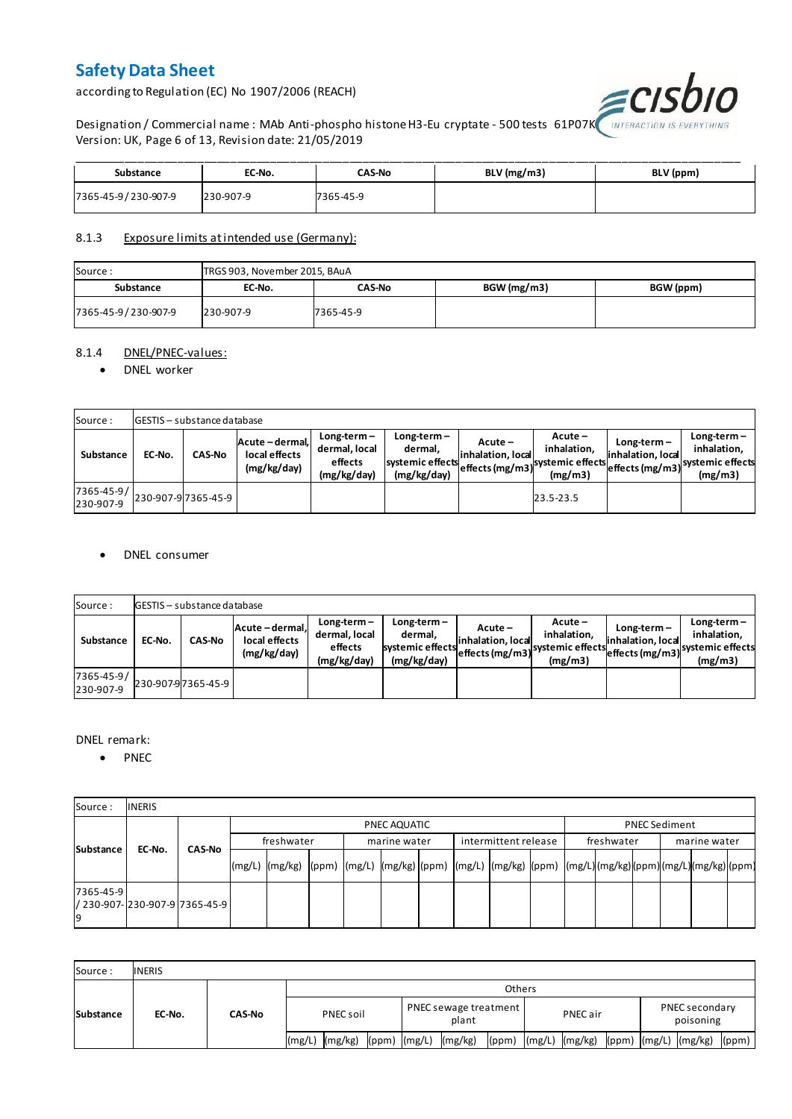according to Regulation (EC) No 1907/2006 (REACH)



Designation / Commercial name : MAb Anti-phospho histone H3-Eu cryptate - 500 tests  $\,61$ P07K $\,$ Version: UK, Page 6 of 13, Revision date: 21/05/2019

| Substance           | EC-No.    | <b>CAS-No</b> | BLV (mg/m3) | BLV (ppm) |
|---------------------|-----------|---------------|-------------|-----------|
| 7365-45-9/230-907-9 | 230-907-9 | 7365-45-9     |             |           |

#### 8.1.3 Exposure limits at intended use (Germany):

| Source:             | TRGS 903, November 2015, BAuA |           |             |           |  |  |  |  |  |  |  |
|---------------------|-------------------------------|-----------|-------------|-----------|--|--|--|--|--|--|--|
| Substance           | EC-No.                        | CAS-No    | BGW (mg/m3) | BGW (ppm) |  |  |  |  |  |  |  |
| 7365-45-9/230-907-9 | 230-907-9                     | 7365-45-9 |             |           |  |  |  |  |  |  |  |

#### 8.1.4 DNEL/PNEC-values:

#### • DNEL worker

| Source:                 |        | <b>GESTIS</b> - substance database |                                                 |                                                          |                                                           |                                 |                                                                            |                                    |                                                                                 |  |  |  |  |  |  |
|-------------------------|--------|------------------------------------|-------------------------------------------------|----------------------------------------------------------|-----------------------------------------------------------|---------------------------------|----------------------------------------------------------------------------|------------------------------------|---------------------------------------------------------------------------------|--|--|--|--|--|--|
| Substance               | EC-No. | <b>CAS-No</b>                      | Acute - dermal,<br>local effects<br>(mg/kg/day) | $Long-term -$<br>dermal, local<br>effects<br>(mg/kg/day) | Long-term –<br>dermal.<br>systemic effects<br>(mg/kg/day) | $Acute -$<br>linhalation. local | $Acute -$<br>inhalation.<br>vuleffects (mg/m3) systemic effects<br>(mg/m3) | $Long-term -$<br>inhalation, local | $Long-term -$<br>inhalation.<br>~~ leffects (mg/m3) systemic effects<br>(mg/m3) |  |  |  |  |  |  |
| 7365-45-9/<br>230-907-9 |        | 230-907-97365-45-9                 |                                                 |                                                          |                                                           |                                 | 23.5-23.5                                                                  |                                    |                                                                                 |  |  |  |  |  |  |

#### DNEL consumer

| Source:                       |        | GESTIS - substance database |                                               |                                                          |                                                             |                              |                                                                           |                                  |                                                                              |  |  |  |  |  |
|-------------------------------|--------|-----------------------------|-----------------------------------------------|----------------------------------------------------------|-------------------------------------------------------------|------------------------------|---------------------------------------------------------------------------|----------------------------------|------------------------------------------------------------------------------|--|--|--|--|--|
| Substance                     | EC-No. | <b>CAS-No</b>               | Acute-dermal.<br>local effects<br>(mg/kg/day) | $Long-term -$<br>dermal, local<br>effects<br>(mg/kg/day) | $Long-term -$<br>dermal,<br>systemic effects<br>(mg/kg/day) | Acute –<br>inhalation, local | $Acute -$<br>inhalation.<br>"leffects (mg/m3) systemic effects<br>(mg/m3) | Long-term –<br>inhalation, local | $Long-term -$<br>inhalation.<br>weffects (mg/m3) systemic effects<br>(mg/m3) |  |  |  |  |  |
| $7365 - 45 - 9/$<br>230-907-9 |        | 230-907-97365-45-9          |                                               |                                                          |                                                             |                              |                                                                           |                                  |                                                                              |  |  |  |  |  |

#### DNEL remark:

• PNEC

| Source:         | <b>INERIS</b>                    |               |            |                                                                                                                  |  |  |              |  |                      |  |            |  |                      |  |  |
|-----------------|----------------------------------|---------------|------------|------------------------------------------------------------------------------------------------------------------|--|--|--------------|--|----------------------|--|------------|--|----------------------|--|--|
| Substance       |                                  |               |            | PNEC AQUATIC                                                                                                     |  |  |              |  |                      |  |            |  | <b>PNEC Sediment</b> |  |  |
|                 | EC-No.                           | <b>CAS-No</b> | freshwater |                                                                                                                  |  |  | marine water |  | intermittent release |  | freshwater |  | marine water         |  |  |
|                 |                                  |               |            | (mg/L)  (mg/kg)  (ppm)  (mg/L)  (mg/kg) (ppm)  (mg/L)  (mg/kg)  (ppm)  (mg/L) (mg/kg) (ppm) (mg/L) (mg/kg) (ppm) |  |  |              |  |                      |  |            |  |                      |  |  |
| 7365-45-9<br>19 | l/ 230-907-l230-907-9l7365-45-9l |               |            |                                                                                                                  |  |  |              |  |                      |  |            |  |                      |  |  |

| Source:          | <b>INERIS</b> |               |               |         |              |                                       |         |  |          |                      |  |                             |                          |       |
|------------------|---------------|---------------|---------------|---------|--------------|---------------------------------------|---------|--|----------|----------------------|--|-----------------------------|--------------------------|-------|
| <b>Substance</b> | EC-No.        | <b>CAS-No</b> | <b>Others</b> |         |              |                                       |         |  |          |                      |  |                             |                          |       |
|                  |               |               | PNEC soil     |         |              | <b>PNEC</b> sewage treatment<br>plant |         |  | PNEC air |                      |  | PNEC secondary<br>poisoning |                          |       |
|                  |               |               | l(mg/L)       | (mg/kg) | (ppm) (mg/L) |                                       | (mg/kg) |  |          | (ppm) (mg/L) (mg/kg) |  |                             | (ppm) $(mg/L)$ $(mg/kg)$ | (ppm) |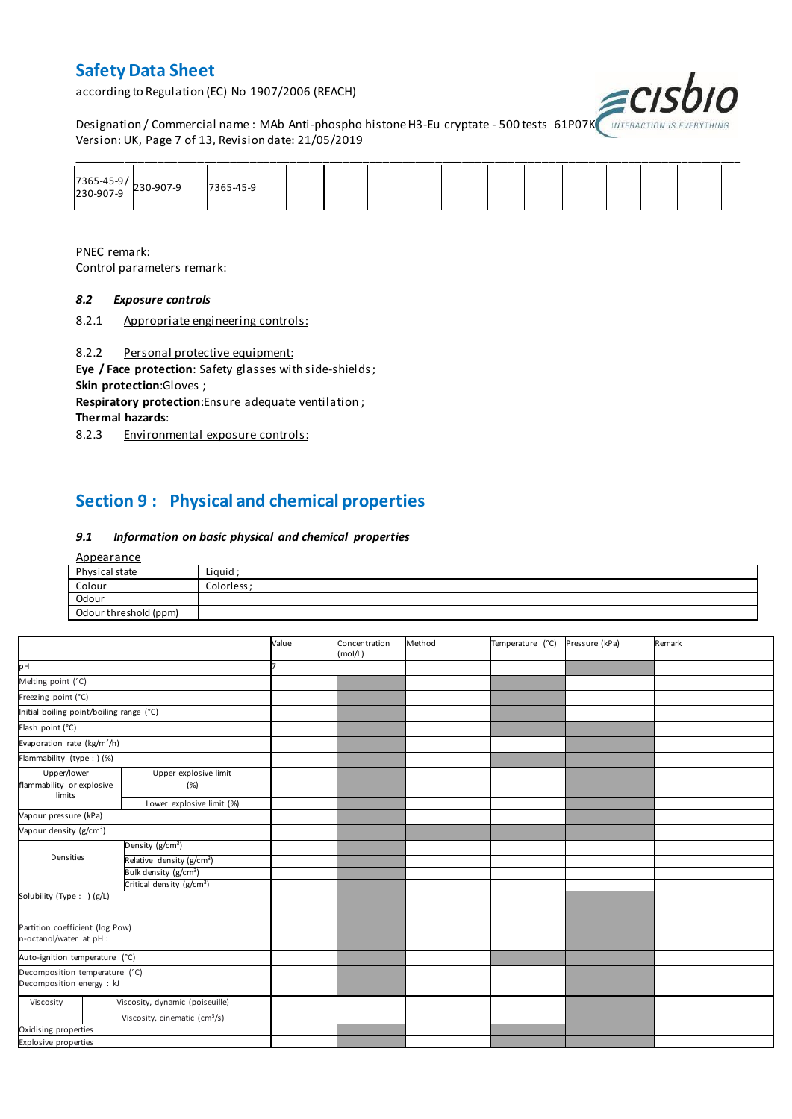according to Regulation (EC) No 1907/2006 (REACH)



Designation / Commercial name : MAb Anti-phospho histone H3-Eu cryptate - 500 tests 61P07K INTERACTION IS I Version: UK, Page 7 of 13, Revision date: 21/05/2019

| 7365-45-9/<br>230-907-9 230-907-9 | 7365-45-9 |  |  |  |  |  |  |
|-----------------------------------|-----------|--|--|--|--|--|--|

PNEC remark: Control parameters remark:

#### *8.2 Exposure controls*

8.2.1 Appropriate engineering controls:

8.2.2 Personal protective equipment:

**Eye / Face protection**: Safety glasses with side-shields ; **Skin protection**:Gloves ;

**Respiratory protection**:Ensure adequate ventilation ;

**Thermal hazards**:

8.2.3 Environmental exposure controls:

### **Section 9 : Physical and chemical properties**

#### *9.1 Information on basic physical and chemical properties*

| <u>Appearance</u>     |             |
|-----------------------|-------------|
| Physical state        | Liquid;     |
| Colour                | Colorless ; |
| Odour                 |             |
| Odour threshold (ppm) |             |

|                                                             |                                       | Value | Concentration<br>(mol/L) | Method | Temperature (°C) | Pressure (kPa) | Remark |
|-------------------------------------------------------------|---------------------------------------|-------|--------------------------|--------|------------------|----------------|--------|
| pH                                                          |                                       |       |                          |        |                  |                |        |
| Melting point (°C)                                          |                                       |       |                          |        |                  |                |        |
| Freezing point (°C)                                         |                                       |       |                          |        |                  |                |        |
| Initial boiling point/boiling range (°C)                    |                                       |       |                          |        |                  |                |        |
| Flash point (°C)                                            |                                       |       |                          |        |                  |                |        |
| Evaporation rate (kg/m <sup>2</sup> /h)                     |                                       |       |                          |        |                  |                |        |
| Flammability (type : ) (%)                                  |                                       |       |                          |        |                  |                |        |
| Upper/lower<br>flammability or explosive<br>limits          | Upper explosive limit<br>(%)          |       |                          |        |                  |                |        |
|                                                             | Lower explosive limit (%)             |       |                          |        |                  |                |        |
| Vapour pressure (kPa)                                       |                                       |       |                          |        |                  |                |        |
| Vapour density (g/cm <sup>3</sup> )                         |                                       |       |                          |        |                  |                |        |
|                                                             | Density (g/cm <sup>3</sup> )          |       |                          |        |                  |                |        |
| Densities                                                   | Relative density (g/cm <sup>3</sup> ) |       |                          |        |                  |                |        |
|                                                             | Bulk density (g/cm <sup>3</sup> )     |       |                          |        |                  |                |        |
|                                                             | Critical density (g/cm <sup>3</sup> ) |       |                          |        |                  |                |        |
| Solubility (Type: ) (g/L)                                   |                                       |       |                          |        |                  |                |        |
| Partition coefficient (log Pow)<br>n-octanol/water at pH :  |                                       |       |                          |        |                  |                |        |
| Auto-ignition temperature (°C)                              |                                       |       |                          |        |                  |                |        |
| Decomposition temperature (°C)<br>Decomposition energy : kJ |                                       |       |                          |        |                  |                |        |
| Viscosity                                                   | Viscosity, dynamic (poiseuille)       |       |                          |        |                  |                |        |
|                                                             | Viscosity, cinematic $(cm3/s)$        |       |                          |        |                  |                |        |
| Oxidising properties                                        |                                       |       |                          |        |                  |                |        |
| <b>Explosive properties</b>                                 |                                       |       |                          |        |                  |                |        |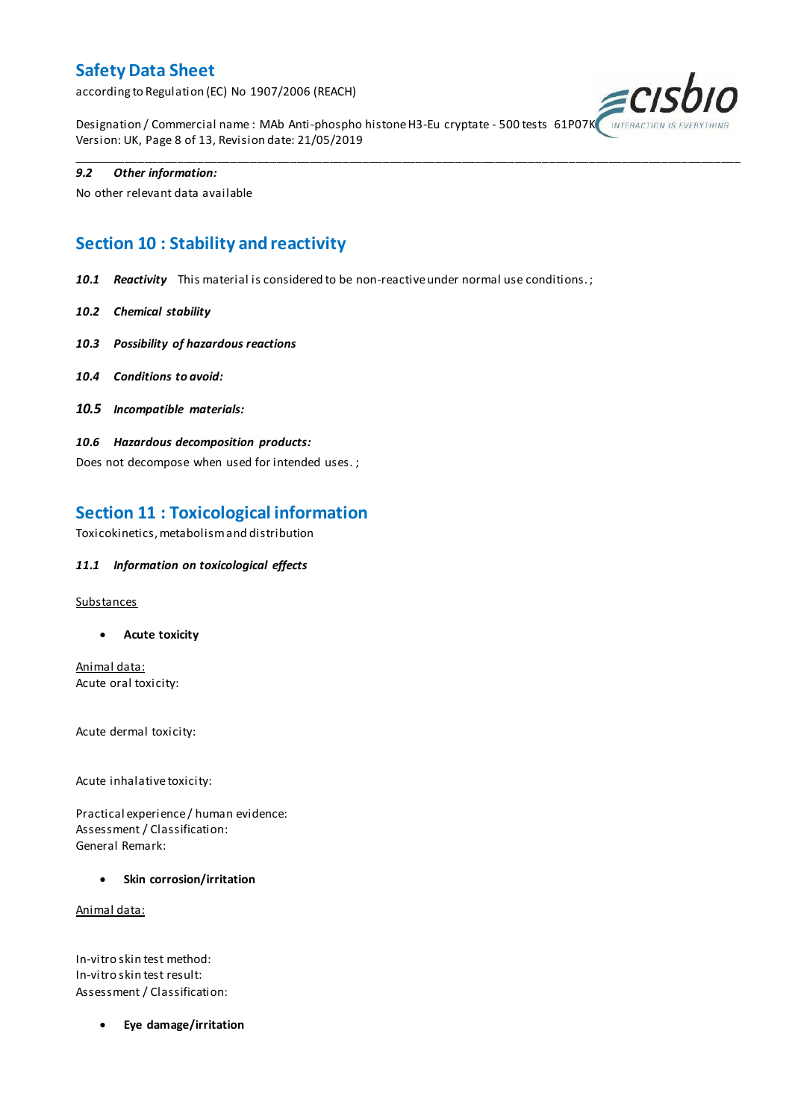according to Regulation (EC) No 1907/2006 (REACH)



Designation / Commercial name : MAb Anti-phospho histone H3-Eu cryptate - 500 tests 61P07K Version: UK, Page 8 of 13, Revision date: 21/05/2019

\_\_\_\_\_\_\_\_\_\_\_\_\_\_\_\_\_\_\_\_\_\_\_\_\_\_\_\_\_\_\_\_\_\_\_\_\_\_\_\_\_\_\_\_\_\_\_\_\_\_\_\_\_\_\_\_\_\_\_\_\_\_\_\_\_\_\_\_\_\_\_\_\_\_\_\_\_\_\_\_\_\_\_\_\_\_\_\_\_\_\_\_\_\_\_\_\_\_\_\_\_

#### *9.2 Other information:*

No other relevant data available

### **Section 10 : Stability and reactivity**

*10.1 Reactivity* This material is considered to be non-reactive under normal use conditions. ;

- *10.2 Chemical stability*
- *10.3 Possibility of hazardous reactions*
- *10.4 Conditions to avoid:*
- *10.5 Incompatible materials:*
- *10.6 Hazardous decomposition products:*

Does not decompose when used for intended uses. ;

### **Section 11 : Toxicological information**

Toxicokinetics, metabolism and distribution

#### *11.1 Information on toxicological effects*

#### **Substances**

**Acute toxicity**

Animal data: Acute oral toxicity:

Acute dermal toxicity:

Acute inhalative toxicity:

Practical experience / human evidence: Assessment / Classification: General Remark:

**Skin corrosion/irritation**

Animal data:

In-vitro skin test method: In-vitro skin test result: Assessment / Classification:

**Eye damage/irritation**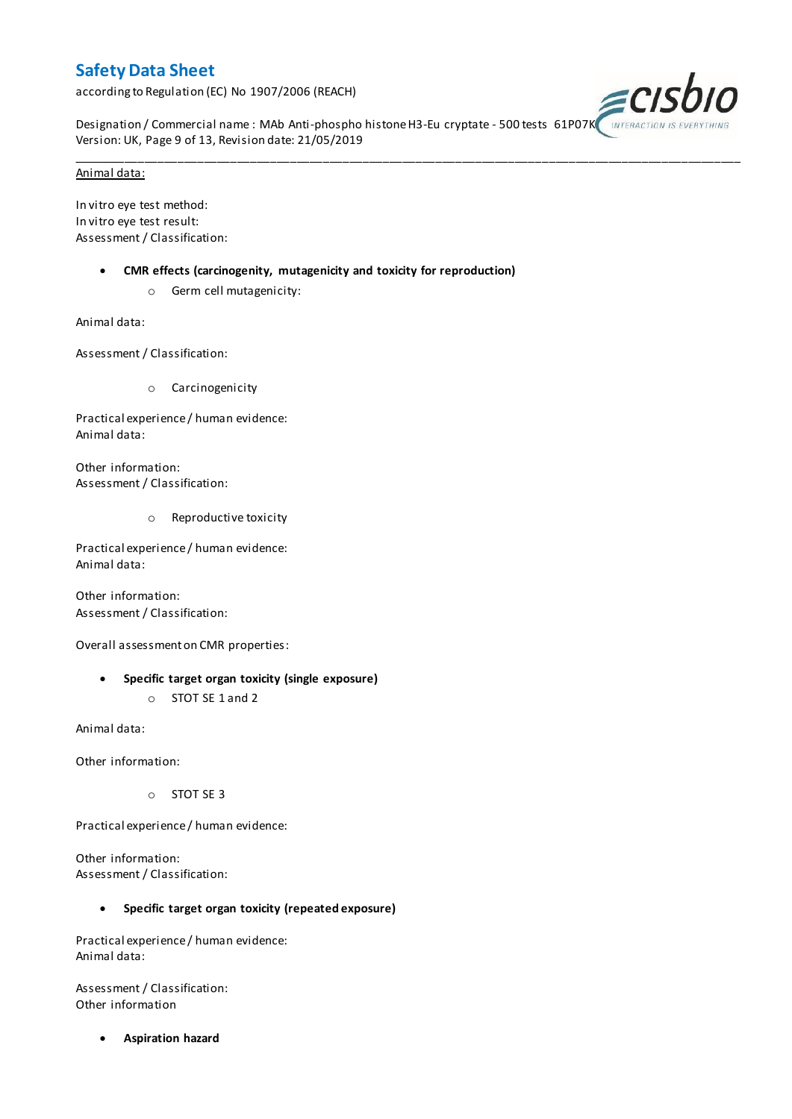according to Regulation (EC) No 1907/2006 (REACH)



Designation / Commercial name : MAb Anti-phospho histone H3-Eu cryptate - 500 tests 61P07K Version: UK, Page 9 of 13, Revision date: 21/05/2019

\_\_\_\_\_\_\_\_\_\_\_\_\_\_\_\_\_\_\_\_\_\_\_\_\_\_\_\_\_\_\_\_\_\_\_\_\_\_\_\_\_\_\_\_\_\_\_\_\_\_\_\_\_\_\_\_\_\_\_\_\_\_\_\_\_\_\_\_\_\_\_\_\_\_\_\_\_\_\_\_\_\_\_\_\_\_\_\_\_\_\_\_\_\_\_\_\_\_\_\_\_

#### Animal data:

In vitro eye test method: In vitro eye test result: Assessment / Classification:

- **CMR effects (carcinogenity, mutagenicity and toxicity for reproduction)**
	- o Germ cell mutagenicity:

Animal data:

Assessment / Classification:

o Carcinogenicity

Practical experience / human evidence: Animal data:

Other information: Assessment / Classification:

o Reproductive toxicity

Practical experience / human evidence: Animal data:

Other information: Assessment / Classification:

Overall assessment on CMR properties:

- **Specific target organ toxicity (single exposure)**
	- o STOT SE 1 and 2

Animal data:

Other information:

o STOT SE 3

Practical experience / human evidence:

Other information: Assessment / Classification:

#### **Specific target organ toxicity (repeated exposure)**

Practical experience / human evidence: Animal data:

Assessment / Classification: Other information

**Aspiration hazard**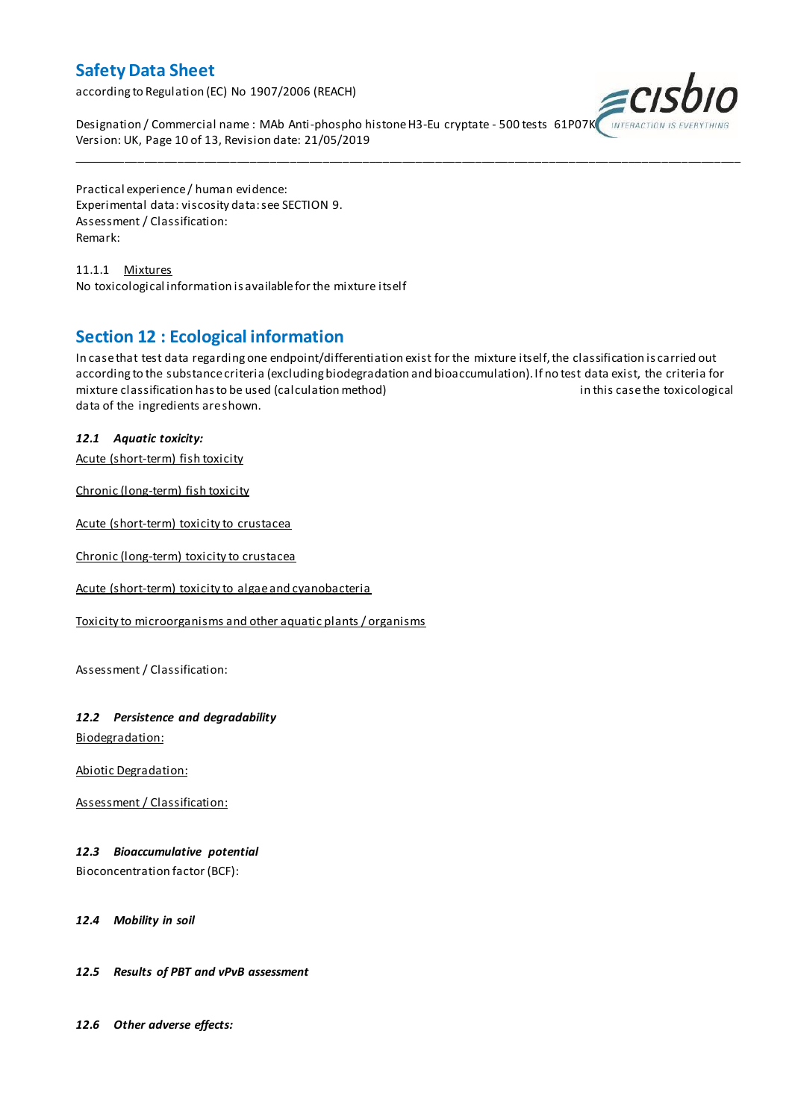according to Regulation (EC) No 1907/2006 (REACH)



Designation / Commercial name : MAb Anti-phospho histone H3-Eu cryptate - 500 tests 61P07K Version: UK, Page 10 of 13, Revision date: 21/05/2019

Practical experience / human evidence: Experimental data: viscosity data: see SECTION 9. Assessment / Classification: Remark:

11.1.1 Mixtures No toxicological information is available for the mixture itself

### **Section 12 : Ecological information**

In case that test data regarding one endpoint/differentiation exist for the mixture itself, the classification is carried out according to the substance criteria (excluding biodegradation and bioaccumulation). If no test data exist, the criteria for mixture classification has to be used (calculation method) in this case the toxicological data of the ingredients are shown.

\_\_\_\_\_\_\_\_\_\_\_\_\_\_\_\_\_\_\_\_\_\_\_\_\_\_\_\_\_\_\_\_\_\_\_\_\_\_\_\_\_\_\_\_\_\_\_\_\_\_\_\_\_\_\_\_\_\_\_\_\_\_\_\_\_\_\_\_\_\_\_\_\_\_\_\_\_\_\_\_\_\_\_\_\_\_\_\_\_\_\_\_\_\_\_\_\_\_\_\_\_

### *12.1 Aquatic toxicity:*

Acute (short-term) fish toxicity

Chronic (long-term) fish toxicity

Acute (short-term) toxicity to crustacea

Chronic (long-term) toxicity to crustacea

Acute (short-term) toxicity to algae and cyanobacteria

Toxicity to microorganisms and other aquatic plants / organisms

Assessment / Classification:

#### *12.2 Persistence and degradability*

Biodegradation:

Abiotic Degradation:

Assessment / Classification:

#### *12.3 Bioaccumulative potential*

Bioconcentration factor (BCF):

#### *12.4 Mobility in soil*

#### *12.5 Results of PBT and vPvB assessment*

*12.6 Other adverse effects:*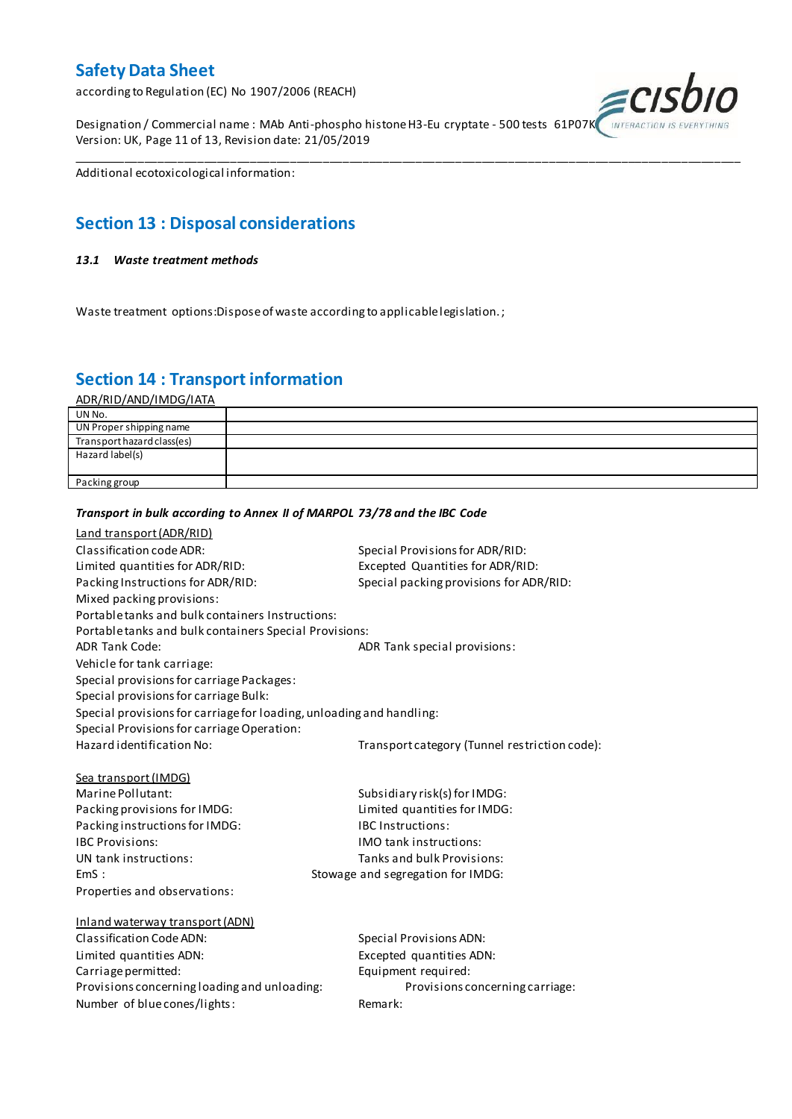according to Regulation (EC) No 1907/2006 (REACH)

Designation / Commercial name : MAb Anti-phospho histone H3-Eu cryptate - 500 tests 61P07K Version: UK, Page 11 of 13, Revision date: 21/05/2019



Additional ecotoxicological information:

### **Section 13 : Disposal considerations**

#### *13.1 Waste treatment methods*

Waste treatment options:Dispose of waste according to applicable legislation. ;

*Transport in bulk according to Annex II of MARPOL 73/78 and the IBC Code*

### **Section 14 : Transport information**

ADR/RID/AND/IMDG/IATA

| UN No.                     |  |
|----------------------------|--|
| UN Proper shipping name    |  |
| Transport hazard class(es) |  |
| Hazard label(s)            |  |
|                            |  |
| Packing group              |  |

\_\_\_\_\_\_\_\_\_\_\_\_\_\_\_\_\_\_\_\_\_\_\_\_\_\_\_\_\_\_\_\_\_\_\_\_\_\_\_\_\_\_\_\_\_\_\_\_\_\_\_\_\_\_\_\_\_\_\_\_\_\_\_\_\_\_\_\_\_\_\_\_\_\_\_\_\_\_\_\_\_\_\_\_\_\_\_\_\_\_\_\_\_\_\_\_\_\_\_\_\_

### Land transport (ADR/RID) Classification code ADR: Special Provisions for ADR/RID: Limited quantities for ADR/RID:<br>
Packing Instructions for ADR/RID: Special packing provisions for ADI Special packing provisions for ADR/RID: Mixed packing provisions: Portable tanks and bulk containers Instructions: Portable tanks and bulk containers Special Provisions: ADR Tank Code: ADR Tank special provisions: Vehicle for tank carriage: Special provisions for carriage Packages: Special provisions for carriage Bulk: Special provisions for carriage for loading, unloading and handling: Special Provisions for carriage Operation: Hazard identification No: Transport category (Tunnel restriction code): Sea transport (IMDG) Marine Pollutant: Subsidiary risk(s) for IMDG: Packing provisions for IMDG: Limited quantities for IMDG: Packing instructions for IMDG: IBC Instructions: IBC Provisions: IMO tank instructions: UN tank instructions: Tanks and bulk Provisions: EmS : Stowage and segregation for IMDG: Properties and observations: Inland waterway transport (ADN) Classification Code ADN: Special Provisions ADN: Limited quantities ADN: Excepted quantities ADN: Carriage permitted: Carriage permitted: Provisions concerning loading and unloading: Provisions concerning carriage: Number of blue cones/lights: Remark: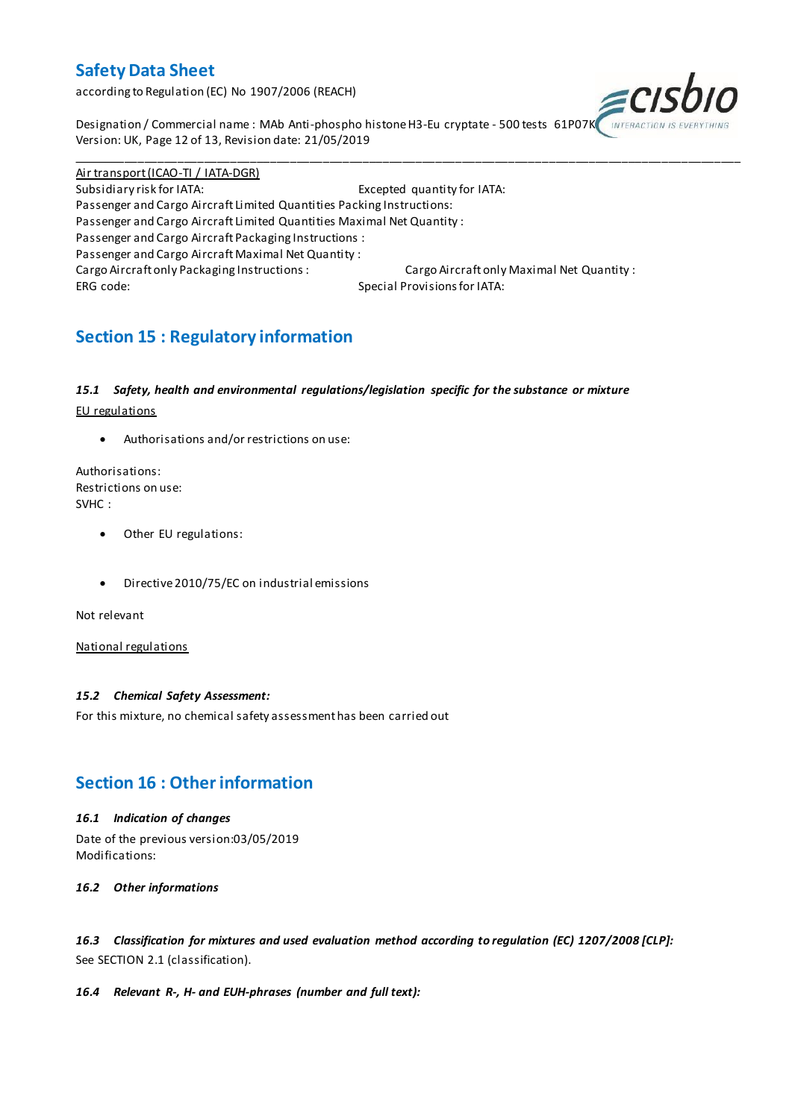according to Regulation (EC) No 1907/2006 (REACH)



Designation / Commercial name : MAb Anti-phospho histone H3-Eu cryptate - 500 tests 61P07K Version: UK, Page 12 of 13, Revision date: 21/05/2019

Air transport (ICAO-TI / IATA-DGR) Subsidiary risk for IATA: Excepted quantity for IATA: Passenger and Cargo Aircraft Limited Quantities Packing Instructions: Passenger and Cargo Aircraft Limited Quantities Maximal Net Quantity : Passenger and Cargo Aircraft Packaging Instructions : Passenger and Cargo Aircraft Maximal Net Quantity : Cargo Aircraft only Packaging Instructions : Cargo Aircraft only Maximal Net Quantity : ERG code: Special Provisions for IATA:

\_\_\_\_\_\_\_\_\_\_\_\_\_\_\_\_\_\_\_\_\_\_\_\_\_\_\_\_\_\_\_\_\_\_\_\_\_\_\_\_\_\_\_\_\_\_\_\_\_\_\_\_\_\_\_\_\_\_\_\_\_\_\_\_\_\_\_\_\_\_\_\_\_\_\_\_\_\_\_\_\_\_\_\_\_\_\_\_\_\_\_\_\_\_\_\_\_\_\_\_\_

## **Section 15 : Regulatory information**

#### *15.1 Safety, health and environmental regulations/legislation specific for the substance or mixture*

EU regulations

Authorisations and/or restrictions on use:

Authorisations: Restrictions on use: SVHC :

- Other EU regulations:
- Directive 2010/75/EC on industrial emissions

Not relevant

National regulations

#### *15.2 Chemical Safety Assessment:*

For this mixture, no chemical safety assessment has been carried out

### **Section 16 : Other information**

#### *16.1 Indication of changes*

Date of the previous version:03/05/2019 Modifications:

*16.2 Other informations*

*16.3 Classification for mixtures and used evaluation method according to regulation (EC) 1207/2008 [CLP]:* See SECTION 2.1 (classification).

#### *16.4 Relevant R-, H- and EUH-phrases (number and full text):*